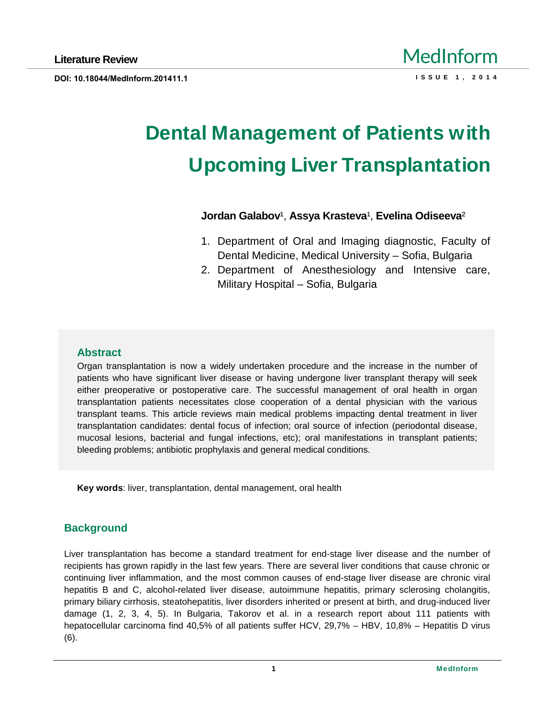# **Dental Management of Patients with Upcoming Liver Transplantation**

# **Jordan Galabov<sup>1</sup>, Assya Krasteva<sup>1</sup>, Evelina Odiseeva<sup>2</sup>**

- 1. Department of Oral and Imaging diagnostic, Faculty of Dental Medicine, Medical University – Sofia, Bulgaria
- 2. Department of Anesthesiology and Intensive care, Military Hospital – Sofia, Bulgaria

# **Abstract**

Organ transplantation is now a widely undertaken procedure and the increase in the number of patients who have significant liver disease or having undergone liver transplant therapy will seek either preoperative or postoperative care. The successful management of oral health in organ transplantation patients necessitates close cooperation of a dental physician with the various transplant teams. This article reviews main medical problems impacting dental treatment in liver transplantation candidates: dental focus of infection; oral source of infection (periodontal disease, mucosal lesions, bacterial and fungal infections, etc); oral manifestations in transplant patients; bleeding problems; antibiotic prophylaxis and general medical conditions.

**Key words**: liver, transplantation, dental management, oral health

# **Background**

Liver transplantation has become a standard treatment for end-stage liver disease and the number of recipients has grown rapidly in the last few years. There are several liver conditions that cause chronic or continuing liver inflammation, and the most common causes of end-stage liver disease are chronic viral hepatitis B and C, alcohol-related liver disease, autoimmune hepatitis, primary sclerosing cholangitis, primary biliary cirrhosis, steatohepatitis, liver disorders inherited or present at birth, and drug-induced liver damage (1, 2, 3, 4, 5). In Bulgaria, Takorov et al. in a research report about 111 patients with hepatocellular carcinoma find 40,5% of all patients suffer HCV, 29,7% – HBV, 10,8% – Hepatitis D virus (6).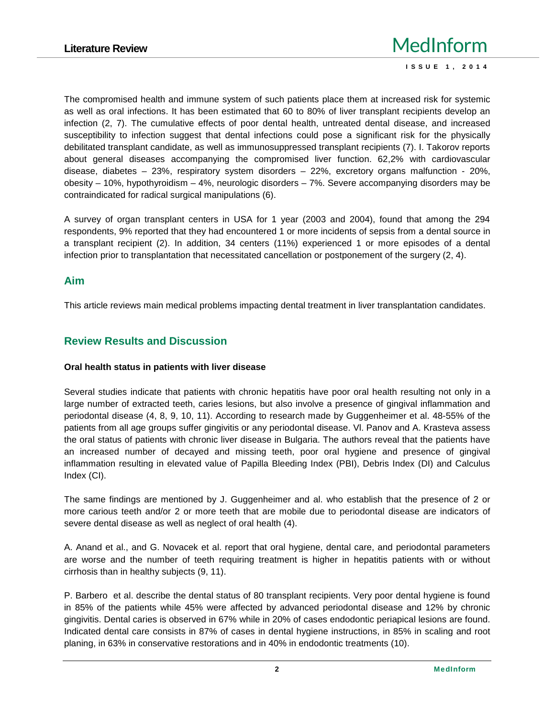The compromised health and immune system of such patients place them at increased risk for systemic as well as oral infections. It has been estimated that 60 to 80% of liver transplant recipients develop an infection (2, 7). The cumulative effects of poor dental health, untreated dental disease, and increased susceptibility to infection suggest that dental infections could pose a significant risk for the physically debilitated transplant candidate, as well as immunosuppressed transplant recipients (7). I. Takorov reports about general diseases accompanying the compromised liver function. 62,2% with cardiovascular disease, diabetes – 23%, respiratory system disorders – 22%, excretory organs malfunction - 20%, obesity – 10%, hypothyroidism – 4%, neurologic disorders – 7%. Severe accompanying disorders may be contraindicated for radical surgical manipulations (6).

A survey of organ transplant centers in USA for 1 year (2003 and 2004), found that among the 294 respondents, 9% reported that they had encountered 1 or more incidents of sepsis from a dental source in a transplant recipient (2). In addition, 34 centers (11%) experienced 1 or more episodes of a dental infection prior to transplantation that necessitated cancellation or postponement of the surgery (2, 4).

### **Aim**

This article reviews main medical problems impacting dental treatment in liver transplantation candidates.

## **Review Results and Discussion**

#### **Oral health status in patients with liver disease**

Several studies indicate that patients with chronic hepatitis have poor oral health resulting not only in a large number of extracted teeth, caries lesions, but also involve a presence of gingival inflammation and periodontal disease (4, 8, 9, 10, 11). According to research made by Guggenheimer et al. 48-55% of the patients from all age groups suffer gingivitis or any periodontal disease. Vl. Panov and A. Krasteva assess the oral status of patients with chronic liver disease in Bulgaria. The authors reveal that the patients have an increased number of decayed and missing teeth, poor oral hygiene and presence of gingival inflammation resulting in elevated value of Papilla Bleeding Index (PBI), Debris Index (DI) and Calculus Index (CI).

The same findings are mentioned by J. Guggenheimer and al. who establish that the presence of 2 or more carious teeth and/or 2 or more teeth that are mobile due to periodontal disease are indicators of severe dental disease as well as neglect of oral health (4).

A. Anand et al., and G. Novacek et al. report that oral hygiene, dental care, and periodontal parameters are worse and the number of teeth requiring treatment is higher in hepatitis patients with or without cirrhosis than in healthy subjects (9, 11).

P. Barbero et al. describe the dental status of 80 transplant recipients. Very poor dental hygiene is found in 85% of the patients while 45% were affected by advanced periodontal disease and 12% by chronic gingivitis. Dental caries is observed in 67% while in 20% of cases endodontic periapical lesions are found. Indicated dental care consists in 87% of cases in dental hygiene instructions, in 85% in scaling and root planing, in 63% in conservative restorations and in 40% in endodontic treatments (10).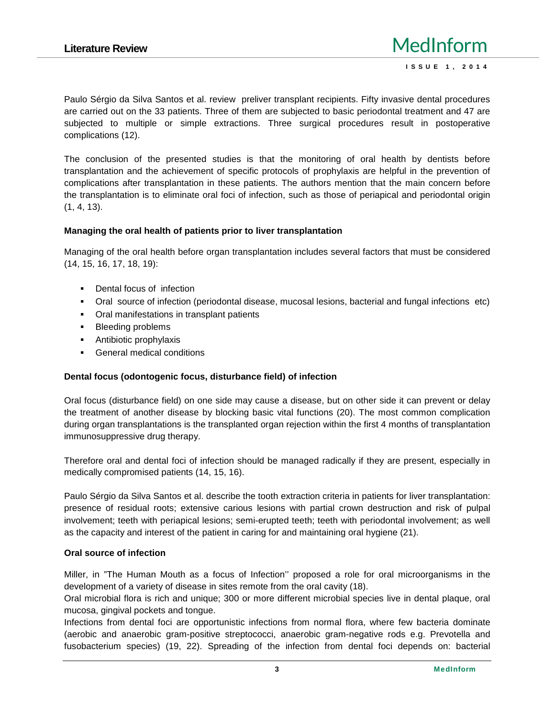Paulo Sérgio da Silva Santos et al. review preliver transplant recipients. Fifty invasive dental procedures are carried out on the 33 patients. Three of them are subjected to basic periodontal treatment and 47 are subjected to multiple or simple extractions. Three surgical procedures result in postoperative complications (12).

The conclusion of the presented studies is that the monitoring of oral health by dentists before transplantation and the achievement of specific protocols of prophylaxis are helpful in the prevention of complications after transplantation in these patients. The authors mention that the main concern before the transplantation is to eliminate oral foci of infection, such as those of periapical and periodontal origin (1, 4, 13).

#### **Managing the oral health of patients prior to liver transplantation**

Managing of the oral health before organ transplantation includes several factors that must be considered (14, 15, 16, 17, 18, 19):

Dental focus of infection Oral source of infection (periodontal disease, mucosal lesions, bacterial and fungal infections etc) Oral manifestations in transplant patients Bleeding problems Antibiotic prophylaxis General medical conditions

#### **Dental focus (odontogenic focus, disturbance field) of infection**

Oral focus (disturbance field) on one side may cause a disease, but on other side it can prevent or delay the treatment of another disease by blocking basic vital functions (20). The most common complication during organ transplantations is the transplanted organ rejection within the first 4 months of transplantation immunosuppressive drug therapy.

Therefore oral and dental foci of infection should be managed radically if they are present, especially in medically compromised patients (14, 15, 16).

Paulo Sérgio da Silva Santos et al. describe the tooth extraction criteria in patients for liver transplantation: presence of residual roots; extensive carious lesions with partial crown destruction and risk of pulpal involvement; teeth with periapical lesions; semi-erupted teeth; teeth with periodontal involvement; as well as the capacity and interest of the patient in caring for and maintaining oral hygiene (21).

#### **Oral source of infection**

Miller, in "The Human Mouth as a focus of Infection'' proposed a role for oral microorganisms in the development of a variety of disease in sites remote from the oral cavity (18).

Oral microbial flora is rich and unique; 300 or more different microbial species live in dental plaque, oral mucosa, gingival pockets and tongue.

Infections from dental foci are opportunistic infections from normal flora, where few bacteria dominate (aerobic and anaerobic gram-positive streptococci, anaerobic gram-negative rods e.g. Prevotella and fusobacterium species) (19, 22). Spreading of the infection from dental foci depends on: bacterial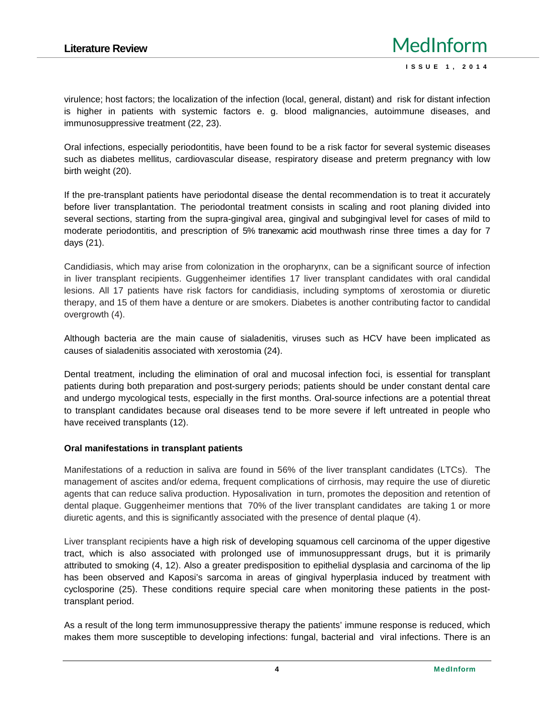virulence; host factors; the localization of the infection (local, general, distant) and risk for distant infection is higher in patients with systemic factors e. g. blood malignancies, autoimmune diseases, and immunosuppressive treatment (22, 23).

Oral infections, especially periodontitis, have been found to be a risk factor for several systemic diseases such as diabetes mellitus, cardiovascular disease, respiratory disease and preterm pregnancy with low birth weight (20).

If the pre-transplant patients have periodontal disease the dental recommendation is to treat it accurately before liver transplantation. The periodontal treatment consists in scaling and root planing divided into several sections, starting from the supra-gingival area, gingival and subgingival level for cases of mild to moderate periodontitis, and prescription of 5% tranexamic acid mouthwash rinse three times a day for 7 days (21).

Candidiasis, which may arise from colonization in the oropharynx, can be a significant source of infection in liver transplant recipients. Guggenheimer identifies 17 liver transplant candidates with oral candidal lesions. All 17 patients have risk factors for candidiasis, including symptoms of xerostomia or diuretic therapy, and 15 of them have a denture or are smokers. Diabetes is another contributing factor to candidal overgrowth (4).

Although bacteria are the main cause of sialadenitis, viruses such as HCV have been implicated as causes of sialadenitis associated with xerostomia (24).

Dental treatment, including the elimination of oral and mucosal infection foci, is essential for transplant patients during both preparation and post-surgery periods; patients should be under constant dental care and undergo mycological tests, especially in the first months. Oral-source infections are a potential threat to transplant candidates because oral diseases tend to be more severe if left untreated in people who have received transplants (12).

#### **Oral manifestations in transplant patients**

Manifestations of a reduction in saliva are found in 56% of the liver transplant candidates (LTCs). The management of ascites and/or edema, frequent complications of cirrhosis, may require the use of diuretic agents that can reduce saliva production. Hyposalivation in turn, promotes the deposition and retention of dental plaque. Guggenheimer mentions that 70% of the liver transplant candidates are taking 1 or more diuretic agents, and this is significantly associated with the presence of dental plaque (4).

Liver transplant recipients have a high risk of developing squamous cell carcinoma of the upper digestive tract, which is also associated with prolonged use of immunosuppressant drugs, but it is primarily attributed to smoking (4, 12). Also a greater predisposition to epithelial dysplasia and carcinoma of the lip has been observed and Kaposi's sarcoma in areas of gingival hyperplasia induced by treatment with cyclosporine (25). These conditions require special care when monitoring these patients in the posttransplant period.

As a result of the long term immunosuppressive therapy the patients' immune response is reduced, which makes them more susceptible to developing infections: fungal, bacterial and viral infections. There is an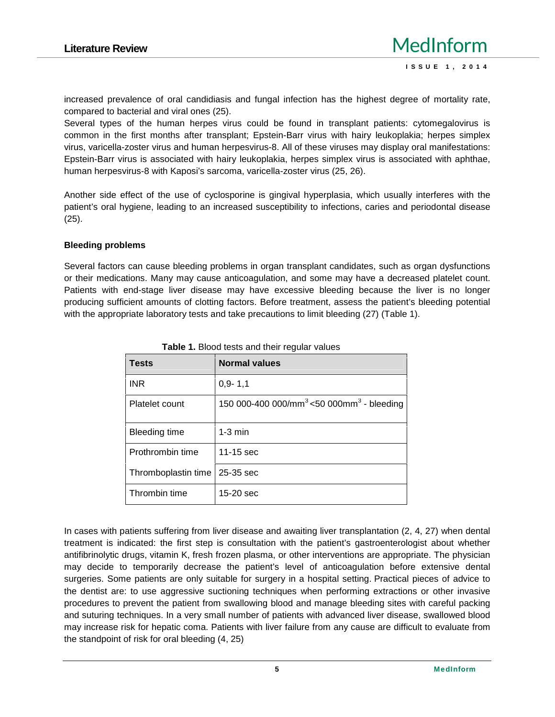increased prevalence of oral candidiasis and fungal infection has the highest degree of mortality rate, compared to bacterial and viral ones (25).

Several types of the human herpes virus could be found in transplant patients: cytomegalovirus is common in the first months after transplant; Epstein-Barr virus with hairy leukoplakia; herpes simplex virus, varicella-zoster virus and human herpesvirus-8. All of these viruses may display oral manifestations: Epstein-Barr virus is associated with hairy leukoplakia, herpes simplex virus is associated with aphthae, human herpesvirus-8 with Kaposi's sarcoma, varicella-zoster virus (25, 26).

Another side effect of the use of cyclosporine is gingival hyperplasia, which usually interferes with the patient's oral hygiene, leading to an increased susceptibility to infections, caries and periodontal disease (25).

#### **Bleeding problems**

Several factors can cause bleeding problems in organ transplant candidates, such as organ dysfunctions or their medications. Many may cause anticoagulation, and some may have a decreased platelet count. Patients with end-stage liver disease may have excessive bleeding because the liver is no longer producing sufficient amounts of clotting factors. Before treatment, assess the patient's bleeding potential with the appropriate laboratory tests and take precautions to limit bleeding (27) (Table 1).

| <b>Tests</b>         | <b>Normal values</b>                                              |
|----------------------|-------------------------------------------------------------------|
| <b>INR</b>           | $0.9 - 1.1$                                                       |
| Platelet count       | 150 000-400 000/mm <sup>3</sup> <50 000mm <sup>3</sup> - bleeding |
| <b>Bleeding time</b> | $1-3$ min                                                         |
| Prothrombin time     | $11-15$ sec                                                       |
| Thromboplastin time  | 25-35 sec                                                         |
| Thrombin time        | $15-20$ sec                                                       |

**Table 1.** Blood tests and their regular values

In cases with patients suffering from liver disease and awaiting liver transplantation (2, 4, 27) when dental treatment is indicated: the first step is consultation with the patient's gastroenterologist about whether antifibrinolytic drugs, vitamin K, fresh frozen plasma, or other interventions are appropriate. The physician may decide to temporarily decrease the patient's level of anticoagulation before extensive dental surgeries. Some patients are only suitable for surgery in a hospital setting. Practical pieces of advice to the dentist are: to use aggressive suctioning techniques when performing extractions or other invasive procedures to prevent the patient from swallowing blood and manage bleeding sites with careful packing and suturing techniques. In a very small number of patients with advanced liver disease, swallowed blood may increase risk for hepatic coma. Patients with liver failure from any cause are difficult to evaluate from the standpoint of risk for oral bleeding (4, 25)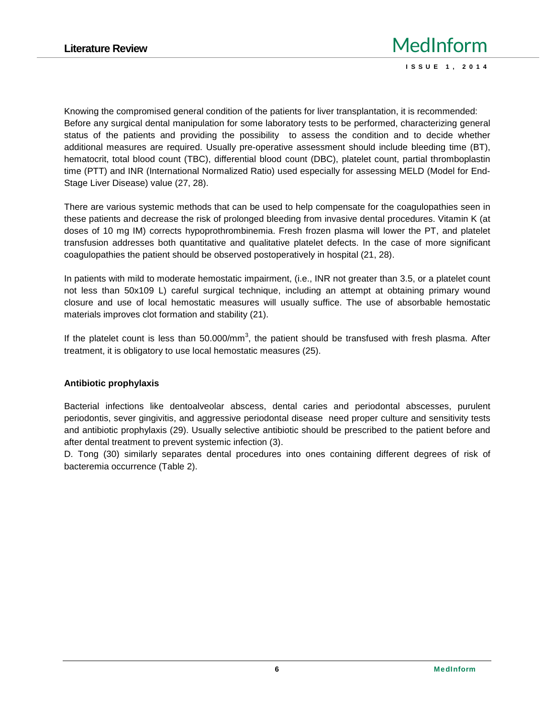Knowing the compromised general condition of the patients for liver transplantation, it is recommended: Before any surgical dental manipulation for some laboratory tests to be performed, characterizing general status of the patients and providing the possibility to assess the condition and to decide whether additional measures are required. Usually pre-operative assessment should include bleeding time (BT), hematocrit, total blood count (TBC), differential blood count (DBC), platelet count, partial thromboplastin time (PTT) and INR (International Normalized Ratio) used especially for assessing MELD (Model for End- Stage Liver Disease) value (27, 28).

There are various systemic methods that can be used to help compensate for the coagulopathies seen in these patients and decrease the risk of prolonged bleeding from invasive dental procedures. Vitamin K (at doses of 10 mg IM) corrects hypoprothrombinemia. Fresh frozen plasma will lower the PT, and platelet transfusion addresses both quantitative and qualitative platelet defects. In the case of more significant coagulopathies the patient should be observed postoperatively in hospital (21, 28).

In patients with mild to moderate hemostatic impairment, (i.e., INR not greater than 3.5, or a platelet count not less than 50x109 L) careful surgical technique, including an attempt at obtaining primary wound closure and use of local hemostatic measures will usually suffice. The use of absorbable hemostatic materials improves clot formation and stability (21).

If the platelet count is less than 50.000/mm<sup>3</sup>, the patient should be transfused with fresh plasma. After treatment, it is obligatory to use local hemostatic measures (25).

#### **Antibiotic prophylaxis**

Bacterial infections like dentoalveolar abscess, dental caries and periodontal abscesses, purulent periodontis, sever gingivitis, and aggressive periodontal disease need proper culture and sensitivity tests and antibiotic prophylaxis (29). Usually selective antibiotic should be prescribed to the patient before and after dental treatment to prevent systemic infection (3).

D. Tong (30) similarly separates dental procedures into ones containing different degrees of risk of bacteremia occurrence (Table 2).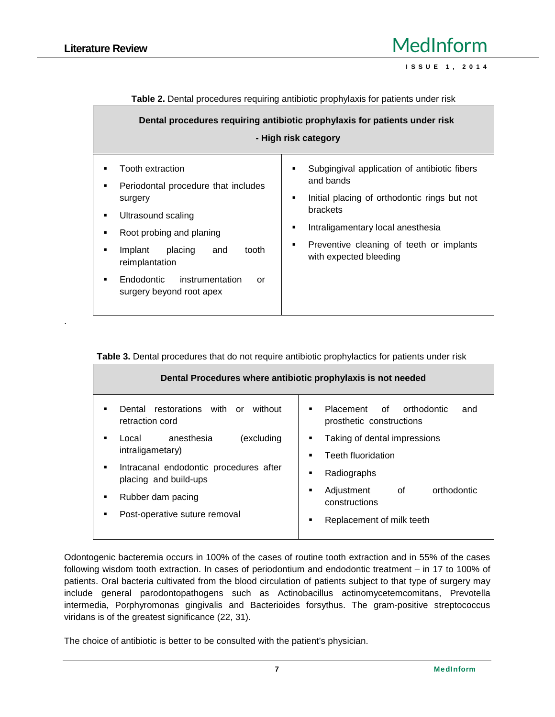.

|                                                                                                                                                                                                                                                                               | Dental procedures requiring antibiotic prophylaxis for patients under risk<br>- High risk category                                                                                                                                                   |
|-------------------------------------------------------------------------------------------------------------------------------------------------------------------------------------------------------------------------------------------------------------------------------|------------------------------------------------------------------------------------------------------------------------------------------------------------------------------------------------------------------------------------------------------|
| Tooth extraction<br>٠<br>Periodontal procedure that includes<br>٠<br>surgery<br>Ultrasound scaling<br>٠<br>Root probing and planing<br>٠<br>tooth<br>Implant<br>placing<br>and<br>٠<br>reimplantation<br>Endodontic<br>instrumentation<br>٠<br>or<br>surgery beyond root apex | Subgingival application of antibiotic fibers<br>٠<br>and bands<br>Initial placing of orthodontic rings but not<br>٠<br>brackets<br>Intraligamentary local anesthesia<br>٠<br>Preventive cleaning of teeth or implants<br>٠<br>with expected bleeding |

**Table 2.** Dental procedures requiring antibiotic prophylaxis for patients under risk

|  | Table 3. Dental procedures that do not require antibiotic prophylactics for patients under risk |  |
|--|-------------------------------------------------------------------------------------------------|--|
|--|-------------------------------------------------------------------------------------------------|--|

| Dental Procedures where antibiotic prophylaxis is not needed |                                                                               |
|--------------------------------------------------------------|-------------------------------------------------------------------------------|
| Dental restorations with or<br>without<br>retraction cord    | Placement of orthodontic<br>$\blacksquare$<br>and<br>prosthetic constructions |
| anesthesia                                                   | Taking of dental impressions                                                  |
| (excluding                                                   | ٠                                                                             |
| Local                                                        | <b>Teeth fluoridation</b>                                                     |
| intraligametary)                                             | п                                                                             |
| Intracanal endodontic procedures after                       | Radiographs                                                                   |
| placing and build-ups                                        | п                                                                             |
| Rubber dam pacing                                            | orthodontic<br>Adjustment<br>of<br>٠<br>constructions                         |
| Post-operative suture removal                                | Replacement of milk teeth                                                     |
|                                                              | ٠                                                                             |

Odontogenic bacteremia occurs in 100% of the cases of routine tooth extraction and in 55% of the cases following wisdom tooth extraction. In cases of periodontium and endodontic treatment – in 17 to 100% of patients. Oral bacteria cultivated from the blood circulation of patients subject to that type of surgery may include general parodontopathogens such as Actinobacillus actinomycetemcomitans, Prevotella intermedia, Porphyromonas gingivalis and Bacterioides forsythus. The gram-positive streptococcus viridans is of the greatest significance (22, 31).

The choice of antibiotic is better to be consulted with the patient's physician.

**IedInform**<br> **ISSUE 1, 2014**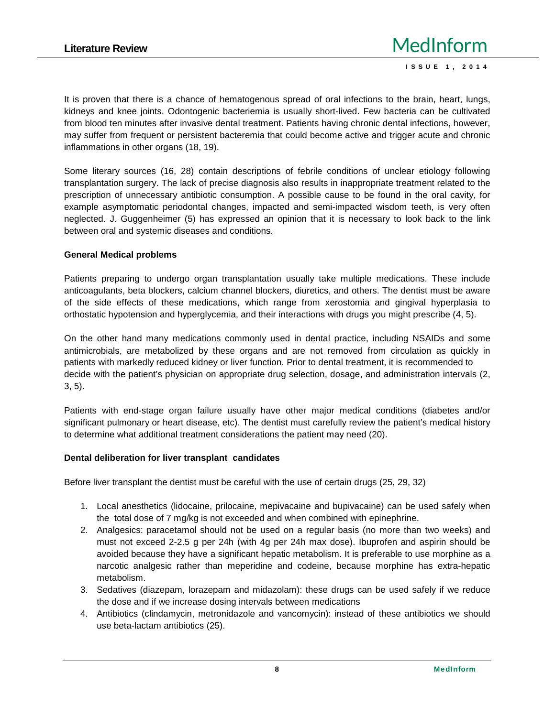It is proven that there is a chance of hematogenous spread of oral infections to the brain, heart, lungs, kidneys and knee joints. Odontogenic bacteriemia is usually short-lived. Few bacteria can be cultivated from blood ten minutes after invasive dental treatment. Patients having chronic dental infections, however, may suffer from frequent or persistent bacteremia that could become active and trigger acute and chronic inflammations in other organs (18, 19).

Some literary sources (16, 28) contain descriptions of febrile conditions of unclear etiology following transplantation surgery. The lack of precise diagnosis also results in inappropriate treatment related to the prescription of unnecessary antibiotic consumption. A possible cause to be found in the oral cavity, for example asymptomatic periodontal changes, impacted and semi-impacted wisdom teeth, is very often neglected. J. Guggenheimer (5) has expressed an opinion that it is necessary to look back to the link between oral and systemic diseases and conditions.

### **General Medical problems**

Patients preparing to undergo organ transplantation usually take multiple medications. These include anticoagulants, beta blockers, calcium channel blockers, diuretics, and others. The dentist must be aware of the side effects of these medications, which range from xerostomia and gingival hyperplasia to orthostatic hypotension and hyperglycemia, and their interactions with drugs you might prescribe (4, 5).

On the other hand many medications commonly used in dental practice, including NSAIDs and some antimicrobials, are metabolized by these organs and are not removed from circulation as quickly in patients with markedly reduced kidney or liver function. Prior to dental treatment, it is recommended to decide with the patient's physician on appropriate drug selection, dosage, and administration intervals (2, 3, 5).

Patients with end-stage organ failure usually have other major medical conditions (diabetes and/or significant pulmonary or heart disease, etc). The dentist must carefully review the patient's medical history to determine what additional treatment considerations the patient may need (20).

#### **Dental deliberation for liver transplant candidates**

Before liver transplant the dentist must be careful with the use of certain drugs (25, 29, 32)

- 1. Local anesthetics (lidocaine, prilocaine, mepivacaine and bupivacaine) can be used safely when the total dose of 7 mg/kg is not exceeded and when combined with epinephrine.
- 2. Analgesics: paracetamol should not be used on a regular basis (no more than two weeks) and must not exceed 2-2.5 g per 24h (with 4g per 24h max dose). Ibuprofen and aspirin should be avoided because they have a significant hepatic metabolism. It is preferable to use morphine as a narcotic analgesic rather than meperidine and codeine, because morphine has extra-hepatic metabolism.
- 3. Sedatives (diazepam, lorazepam and midazolam): these drugs can be used safely if we reduce the dose and if we increase dosing intervals between medications
- 4. Antibiotics (clindamycin, metronidazole and vancomycin): instead of these antibiotics we should use beta-lactam antibiotics (25).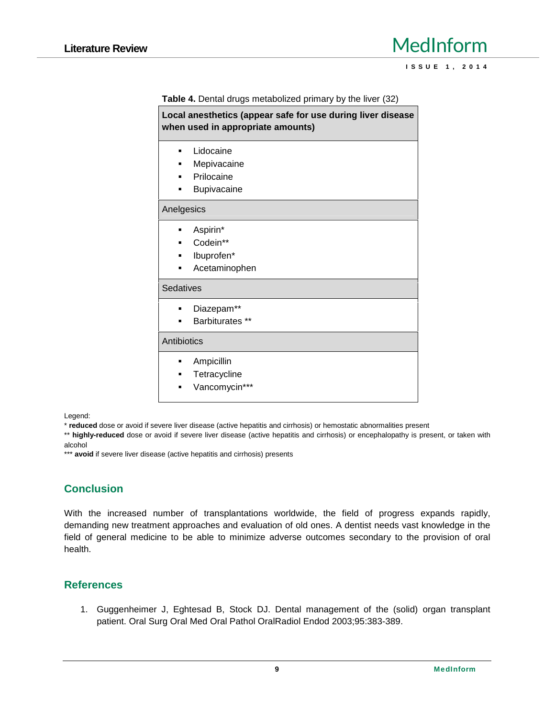# Literature Review **MedInform IedInform**<br> **ISSUE 1, 2014**

**Table 4.** Dental drugs metabolized primary by the liver (32)

| Local anesthetics (appear safe for use during liver disease<br>when used in appropriate amounts) |  |  |
|--------------------------------------------------------------------------------------------------|--|--|
| Lidocaine                                                                                        |  |  |
| Mepivacaine                                                                                      |  |  |
| Prilocaine                                                                                       |  |  |
| Bupivacaine                                                                                      |  |  |
| Anelgesics                                                                                       |  |  |
| Aspirin*                                                                                         |  |  |
| Codein**                                                                                         |  |  |
| lbuprofen*                                                                                       |  |  |
| Acetaminophen                                                                                    |  |  |
| Sedatives                                                                                        |  |  |
| Diazepam**                                                                                       |  |  |
| Barbiturates **                                                                                  |  |  |
| Antibiotics                                                                                      |  |  |
| Ampicillin                                                                                       |  |  |
| Tetracycline                                                                                     |  |  |
| Vancomycin***                                                                                    |  |  |
|                                                                                                  |  |  |

Legend:

\* **reduced** dose or avoid if severe liver disease (active hepatitis and cirrhosis) or hemostatic abnormalities present

\*\* **highly-reduced** dose or avoid if severe liver disease (active hepatitis and cirrhosis) or encephalopathy is present, or taken with alcohol

\*\*\* **avoid** if severe liver disease (active hepatitis and cirrhosis) presents

# **Conclusion**

With the increased number of transplantations worldwide, the field of progress expands rapidly, demanding new treatment approaches and evaluation of old ones. A dentist needs vast knowledge in the field of general medicine to be able to minimize adverse outcomes secondary to the provision of oral health.

## **References**

1. Guggenheimer J, Eghtesad B, Stock DJ. Dental management of the (solid) organ transplant patient. Oral Surg Oral Med Oral Pathol OralRadiol Endod 2003;95:383-389.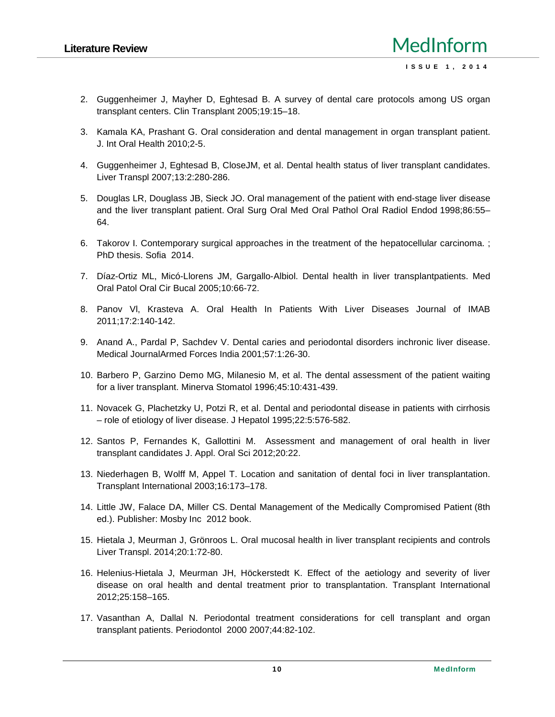- 2. Guggenheimer J, Mayher D, Eghtesad B. A survey of dental care protocols among US organ transplant centers. Clin Transplant 2005;19:15–18.
- 3. Kamala KA, Prashant G. Oral consideration and dental management in organ transplant patient. J. Int Oral Health 2010;2-5.
- 4. Guggenheimer J, Eghtesad B, CloseJM, et al. Dental health status of liver transplant candidates. Liver Transpl 2007;13:2:280-286.
- 5. Douglas LR, Douglass JB, Sieck JO. Oral management of the patient with end-stage liver disease and the liver transplant patient. Oral Surg Oral Med Oral Pathol Oral Radiol Endod 1998;86:55– 64.
- 6. Takorov I. Contemporary surgical approaches in the treatment of the hepatocellular carcinoma. ; PhD thesis. Sofia 2014.
- 7. Díaz-Ortiz ML, Micó-Llorens JM, Gargallo-Albiol. Dental health in liver transplantpatients. Med Oral Patol Oral Cir Bucal 2005;10:66-72.
- 8. Panov Vl, Krasteva A. Oral Health In Patients With Liver Diseases Journal of IMAB 2011;17:2:140-142.
- 9. Anand A., Pardal P, Sachdev V. Dental caries and periodontal disorders inchronic liver disease. Medical JournalArmed Forces India 2001;57:1:26-30.
- 10. Barbero P, Garzino Demo MG, Milanesio M, et al. The dental assessment of the patient waiting for a liver transplant. Minerva Stomatol 1996;45:10:431-439.
- 11. Novacek G, Plachetzky U, Potzi R, et al. Dental and periodontal disease in patients with cirrhosis – role of etiology of liver disease. J Hepatol 1995;22:5:576-582.
- 12. Santos P, Fernandes K, Gallottini M. Assessment and management of oral health in liver transplant candidates J. Appl. Oral Sci 2012;20:22.
- 13. Niederhagen B, Wolff M, Appel T. Location and sanitation of dental foci in liver transplantation. Transplant International 2003;16:173–178.
- 14. Little JW, Falace DA, Miller CS. Dental Management of the Medically Compromised Patient (8th ed.). Publisher: Mosby Inc 2012 book.
- 15. Hietala J, Meurman J, Grönroos L. Oral mucosal health in liver transplant recipients and controls Liver Transpl. 2014;20:1:72-80.
- 16. Helenius-Hietala J, Meurman JH, Höckerstedt K. Effect of the aetiology and severity of liver disease on oral health and dental treatment prior to transplantation. Transplant International 2012;25:158–165.
- 17. Vasanthan A, Dallal N. Periodontal treatment considerations for cell transplant and organ transplant patients. Periodontol 2000 2007;44:82-102.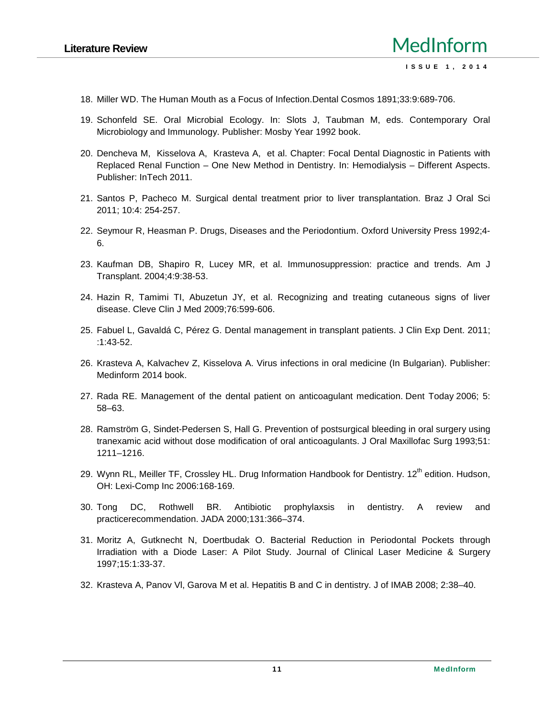- 18. Miller WD. The Human Mouth as a Focus of Infection.Dental Cosmos 1891;33:9:689-706.
- 19. Schonfeld SE. Oral Microbial Ecology. In: Slots J, Taubman M, eds. Contemporary Oral Microbiology and Immunology. Publisher: Mosby Year 1992 book.
- 20. Dencheva M, Kisselova A, Krasteva A, et al. Chapter: Focal Dental Diagnostic in Patients with Replaced Renal Function – One New Method in Dentistry. In: Hemodialysis – Different Aspects. Publisher: InTech 2011.
- 21. Santos P, Pacheco M. Surgical dental treatment prior to liver transplantation. Braz J Oral Sci 2011; 10:4: 254-257.
- 22. Seymour R, Heasman P. Drugs, Diseases and the Periodontium. Oxford University Press 1992;4- 6.
- 23. Kaufman DB, Shapiro R, Lucey MR, et al. Immunosuppression: practice and trends. Am J Transplant. 2004;4:9:38-53.
- 24. Hazin R, Tamimi TI, Abuzetun JY, et al. Recognizing and treating cutaneous signs of liver disease. Cleve Clin J Med 2009;76:599-606.
- 25. Fabuel L, Gavaldá C, Pérez G. Dental management in transplant patients. J Clin Exp Dent. 2011; :1:43-52.
- 26. Krasteva A, Kalvachev Z, Kisselova A. Virus infections in oral medicine (In Bulgarian). Publisher: Medinform 2014 book.
- 27. Rada RE. Management of the dental patient on anticoagulant medication. Dent Today 2006; 5: 58–63.
- 28. Ramström G, Sindet-Pedersen S, Hall G. Prevention of postsurgical bleeding in oral surgery using tranexamic acid without dose modification of oral anticoagulants. J Oral Maxillofac Surg 1993;51: 1211–1216.
- 29. Wynn RL, Meiller TF, Crossley HL. Drug Information Handbook for Dentistry. 12<sup>th</sup> edition. Hudson, OH: Lexi-Comp Inc 2006:168-169.
- 30. Tong DC, Rothwell BR. Antibiotic prophylaxsis in dentistry. A review and practicerecommendation. JADA 2000;131:366–374.
- 31. Moritz A,Gutknecht N, Doertbudak O. Bacterial Reduction in Periodontal Pockets through Irradiation with a Diode Laser: A Pilot Study. Journal of Clinical Laser Medicine & Surgery 1997;15:1:33-37.
- 32. Krasteva, Panov VI, Garova M et al. Hepatitis B and C in dentistry. J of IMAB 2008; 2:38–40.